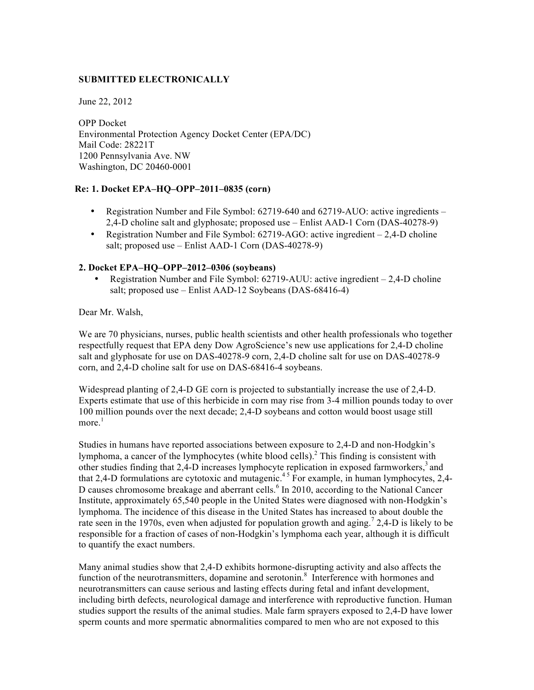# **SUBMITTED ELECTRONICALLY**

June 22, 2012

OPP Docket Environmental Protection Agency Docket Center (EPA/DC) Mail Code: 28221T 1200 Pennsylvania Ave. NW Washington, DC 20460-0001

## **Re: 1. Docket EPA–HQ–OPP–2011–0835 (corn)**

- Registration Number and File Symbol: 62719-640 and 62719-AUO: active ingredients 2,4-D choline salt and glyphosate; proposed use – Enlist AAD-1 Corn (DAS-40278-9)
- Registration Number and File Symbol: 62719-AGO: active ingredient 2,4-D choline salt; proposed use – Enlist AAD-1 Corn (DAS-40278-9)

## **2. Docket EPA–HQ–OPP–2012–0306 (soybeans)**

• Registration Number and File Symbol: 62719-AUU: active ingredient – 2,4-D choline salt; proposed use – Enlist AAD-12 Soybeans (DAS-68416-4)

Dear Mr. Walsh,

We are 70 physicians, nurses, public health scientists and other health professionals who together respectfully request that EPA deny Dow AgroScience's new use applications for 2,4-D choline salt and glyphosate for use on DAS-40278-9 corn, 2,4-D choline salt for use on DAS-40278-9 corn, and 2,4-D choline salt for use on DAS-68416-4 soybeans.

Widespread planting of 2,4-D GE corn is projected to substantially increase the use of 2,4-D. Experts estimate that use of this herbicide in corn may rise from 3-4 million pounds today to over 100 million pounds over the next decade; 2,4-D soybeans and cotton would boost usage still more.<sup>1</sup>

Studies in humans have reported associations between exposure to 2,4-D and non-Hodgkin's lymphoma, a cancer of the lymphocytes (white blood cells). <sup>2</sup> This finding is consistent with other studies finding that 2,4-D increases lymphocyte replication in exposed farmworkers,<sup>3</sup> and that 2,4-D formulations are cytotoxic and mutagenic.<sup>45</sup> For example, in human lymphocytes, 2,4-D causes chromosome breakage and aberrant cells.<sup>6</sup> In 2010, according to the National Cancer Institute, approximately 65,540 people in the United States were diagnosed with non-Hodgkin's lymphoma. The incidence of this disease in the United States has increased to about double the rate seen in the 1970s, even when adjusted for population growth and aging.<sup>7</sup> 2,4-D is likely to be responsible for a fraction of cases of non-Hodgkin's lymphoma each year, although it is difficult to quantify the exact numbers.

Many animal studies show that 2,4-D exhibits hormone-disrupting activity and also affects the function of the neurotransmitters, dopamine and serotonin.<sup>8</sup> Interference with hormones and neurotransmitters can cause serious and lasting effects during fetal and infant development, including birth defects, neurological damage and interference with reproductive function. Human studies support the results of the animal studies. Male farm sprayers exposed to 2,4-D have lower sperm counts and more spermatic abnormalities compared to men who are not exposed to this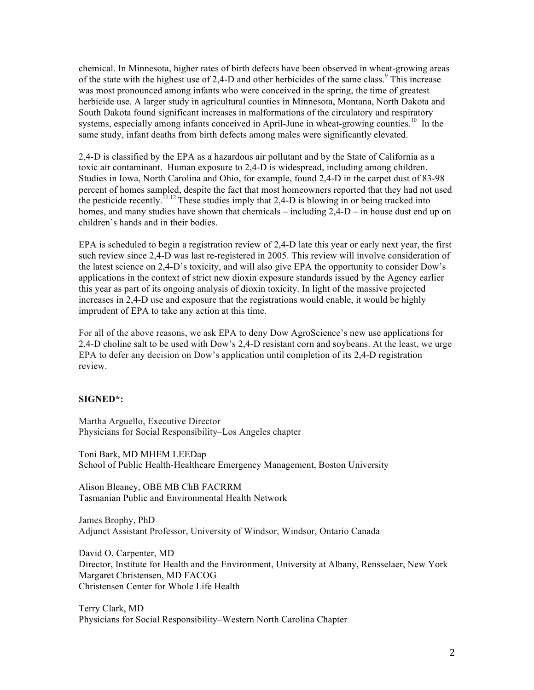chemical. In Minnesota, higher rates of birth defects have been observed in wheat-growing areas of the state with the highest use of 2.4-D and other herbicides of the same class.<sup>9</sup> This increase was most pronounced among infants who were conceived in the spring, the time of greatest herbicide use. A larger study in agricultural counties in Minnesota, Montana, North Dakota and South Dakota found significant increases in malformations of the circulatory and respiratory systems, especially among infants conceived in April-June in wheat-growing counties.<sup>10</sup> In the same study, infant deaths from birth defects among males were significantly elevated.

2,4-D is classified by the EPA as a hazardous air pollutant and by the State of California as a toxic air contaminant. Human exposure to 2,4-D is widespread, including among children. Studies in Iowa, North Carolina and Ohio, for example, found 2,4-D in the carpet dust of 83-98 percent of homes sampled, despite the fact that most homeowners reported that they had not used the pesticide recently.<sup>11 12</sup> These studies imply that 2,4-D is blowing in or being tracked into homes, and many studies have shown that chemicals – including  $2,4-D$  – in house dust end up on children's hands and in their bodies.

EPA is scheduled to begin a registration review of 2,4-D late this year or early next year, the first such review since 2,4-D was last re-registered in 2005. This review will involve consideration of the latest science on 2,4-D's toxicity, and will also give EPA the opportunity to consider Dow's applications in the context of strict new dioxin exposure standards issued by the Agency earlier this year as part of its ongoing analysis of dioxin toxicity. In light of the massive projected increases in 2,4-D use and exposure that the registrations would enable, it would be highly imprudent of EPA to take any action at this time.

For all of the above reasons, we ask EPA to deny Dow AgroScience's new use applications for 2,4-D choline salt to be used with Dow's 2,4-D resistant corn and soybeans. At the least, we urge EPA to defer any decision on Dow's application until completion of its 2,4-D registration review.

#### **SIGNED\*:**

Martha Arguello, Executive Director Physicians for Social Responsibility–Los Angeles chapter

Toni Bark, MD MHEM LEEDap School of Public Health-Healthcare Emergency Management, Boston University

Alison Bleaney, OBE MB ChB FACRRM Tasmanian Public and Environmental Health Network

James Brophy, PhD Adjunct Assistant Professor, University of Windsor, Windsor, Ontario Canada

David O. Carpenter, MD Director, Institute for Health and the Environment, University at Albany, Rensselaer, New York Margaret Christensen, MD FACOG Christensen Center for Whole Life Health

Terry Clark, MD Physicians for Social Responsibility–Western North Carolina Chapter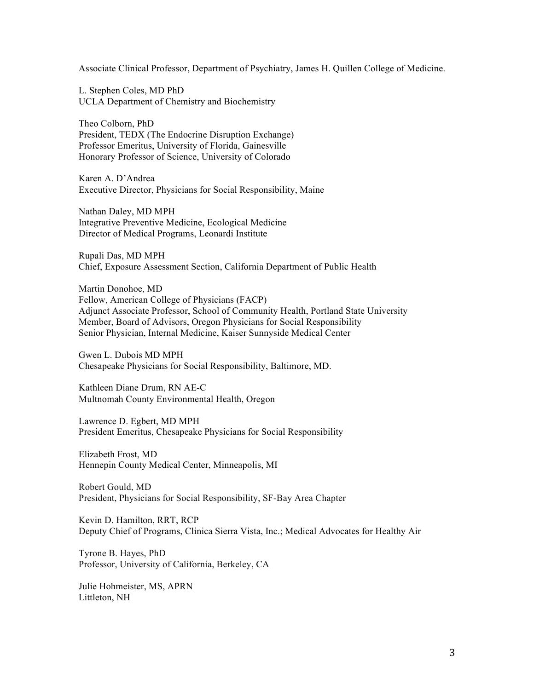Associate Clinical Professor, Department of Psychiatry, James H. Quillen College of Medicine.

L. Stephen Coles, MD PhD UCLA Department of Chemistry and Biochemistry

Theo Colborn, PhD President, TEDX (The Endocrine Disruption Exchange) Professor Emeritus, University of Florida, Gainesville Honorary Professor of Science, University of Colorado

Karen A. D'Andrea Executive Director, Physicians for Social Responsibility, Maine

Nathan Daley, MD MPH Integrative Preventive Medicine, Ecological Medicine Director of Medical Programs, Leonardi Institute

Rupali Das, MD MPH Chief, Exposure Assessment Section, California Department of Public Health

Martin Donohoe, MD Fellow, American College of Physicians (FACP) Adjunct Associate Professor, School of Community Health, Portland State University Member, Board of Advisors, Oregon Physicians for Social Responsibility Senior Physician, Internal Medicine, Kaiser Sunnyside Medical Center

Gwen L. Dubois MD MPH Chesapeake Physicians for Social Responsibility, Baltimore, MD.

Kathleen Diane Drum, RN AE-C Multnomah County Environmental Health, Oregon

Lawrence D. Egbert, MD MPH President Emeritus, Chesapeake Physicians for Social Responsibility

Elizabeth Frost, MD Hennepin County Medical Center, Minneapolis, MI

Robert Gould, MD President, Physicians for Social Responsibility, SF-Bay Area Chapter

Kevin D. Hamilton, RRT, RCP Deputy Chief of Programs, Clinica Sierra Vista, Inc.; Medical Advocates for Healthy Air

Tyrone B. Hayes, PhD Professor, University of California, Berkeley, CA

Julie Hohmeister, MS, APRN Littleton, NH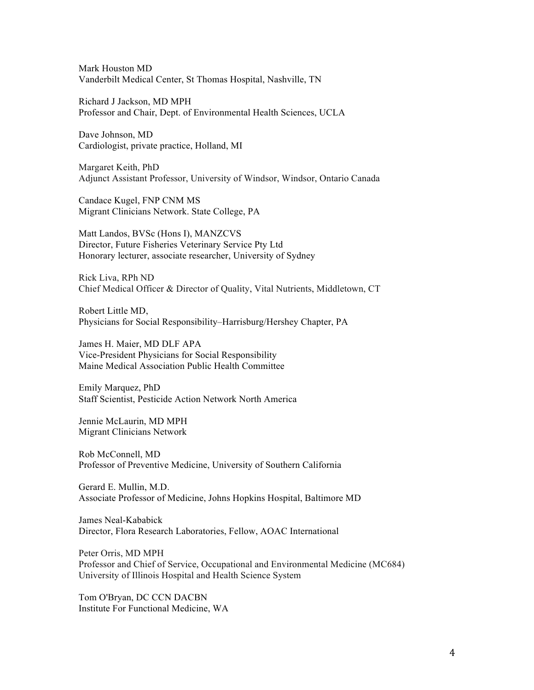Mark Houston MD Vanderbilt Medical Center, St Thomas Hospital, Nashville, TN

Richard J Jackson, MD MPH Professor and Chair, Dept. of Environmental Health Sciences, UCLA

Dave Johnson, MD Cardiologist, private practice, Holland, MI

Margaret Keith, PhD Adjunct Assistant Professor, University of Windsor, Windsor, Ontario Canada

Candace Kugel, FNP CNM MS Migrant Clinicians Network. State College, PA

Matt Landos, BVSc (Hons I), MANZCVS Director, Future Fisheries Veterinary Service Pty Ltd Honorary lecturer, associate researcher, University of Sydney

Rick Liva, RPh ND Chief Medical Officer & Director of Quality, Vital Nutrients, Middletown, CT

Robert Little MD, Physicians for Social Responsibility–Harrisburg/Hershey Chapter, PA

James H. Maier, MD DLF APA Vice-President Physicians for Social Responsibility Maine Medical Association Public Health Committee

Emily Marquez, PhD Staff Scientist, Pesticide Action Network North America

Jennie McLaurin, MD MPH Migrant Clinicians Network

Rob McConnell, MD Professor of Preventive Medicine, University of Southern California

Gerard E. Mullin, M.D. Associate Professor of Medicine, Johns Hopkins Hospital, Baltimore MD

James Neal-Kababick Director, Flora Research Laboratories, Fellow, AOAC International

Peter Orris, MD MPH Professor and Chief of Service, Occupational and Environmental Medicine (MC684) University of Illinois Hospital and Health Science System

Tom O'Bryan, DC CCN DACBN Institute For Functional Medicine, WA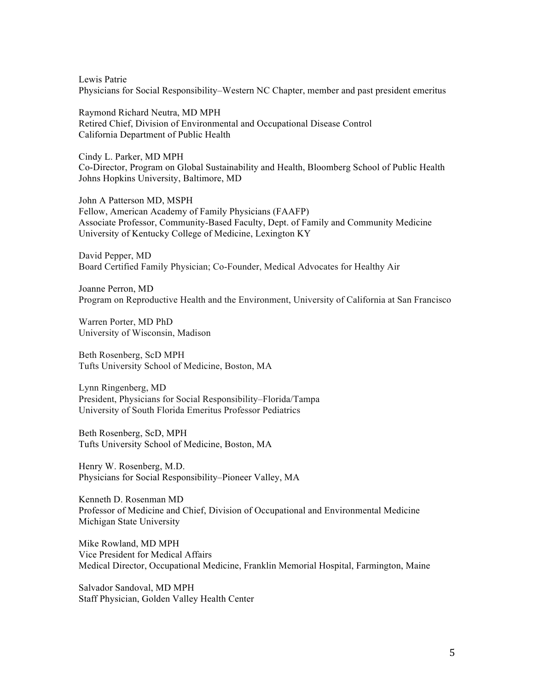Lewis Patrie Physicians for Social Responsibility–Western NC Chapter, member and past president emeritus

Raymond Richard Neutra, MD MPH Retired Chief, Division of Environmental and Occupational Disease Control California Department of Public Health

Cindy L. Parker, MD MPH Co-Director, Program on Global Sustainability and Health, Bloomberg School of Public Health Johns Hopkins University, Baltimore, MD

John A Patterson MD, MSPH Fellow, American Academy of Family Physicians (FAAFP) Associate Professor, Community-Based Faculty, Dept. of Family and Community Medicine University of Kentucky College of Medicine, Lexington KY

David Pepper, MD Board Certified Family Physician; Co-Founder, Medical Advocates for Healthy Air

Joanne Perron, MD Program on Reproductive Health and the Environment, University of California at San Francisco

Warren Porter, MD PhD University of Wisconsin, Madison

Beth Rosenberg, ScD MPH Tufts University School of Medicine, Boston, MA

Lynn Ringenberg, MD President, Physicians for Social Responsibility–Florida/Tampa University of South Florida Emeritus Professor Pediatrics

Beth Rosenberg, ScD, MPH Tufts University School of Medicine, Boston, MA

Henry W. Rosenberg, M.D. Physicians for Social Responsibility–Pioneer Valley, MA

Kenneth D. Rosenman MD Professor of Medicine and Chief, Division of Occupational and Environmental Medicine Michigan State University

Mike Rowland, MD MPH Vice President for Medical Affairs Medical Director, Occupational Medicine, Franklin Memorial Hospital, Farmington, Maine

Salvador Sandoval, MD MPH Staff Physician, Golden Valley Health Center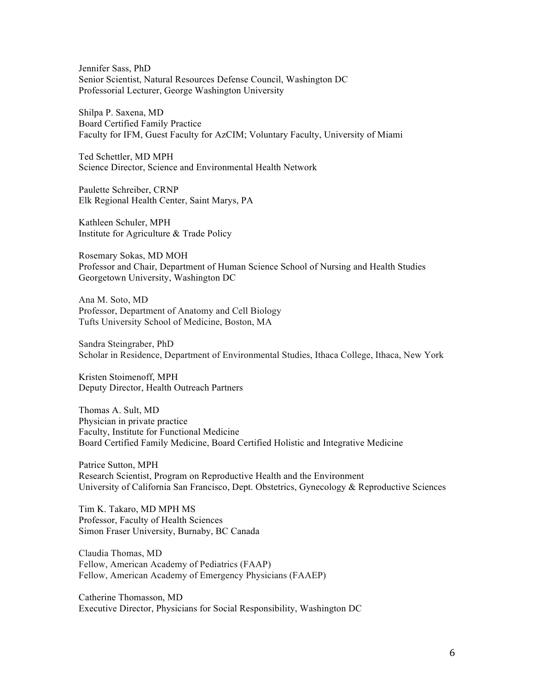Jennifer Sass, PhD Senior Scientist, Natural Resources Defense Council, Washington DC Professorial Lecturer, George Washington University

Shilpa P. Saxena, MD Board Certified Family Practice Faculty for IFM, Guest Faculty for AzCIM; Voluntary Faculty, University of Miami

Ted Schettler, MD MPH Science Director, Science and Environmental Health Network

Paulette Schreiber, CRNP Elk Regional Health Center, Saint Marys, PA

Kathleen Schuler, MPH Institute for Agriculture & Trade Policy

Rosemary Sokas, MD MOH Professor and Chair, Department of Human Science School of Nursing and Health Studies Georgetown University, Washington DC

Ana M. Soto, MD Professor, Department of Anatomy and Cell Biology Tufts University School of Medicine, Boston, MA

Sandra Steingraber, PhD Scholar in Residence, Department of Environmental Studies, Ithaca College, Ithaca, New York

Kristen Stoimenoff, MPH Deputy Director, Health Outreach Partners

Thomas A. Sult, MD Physician in private practice Faculty, Institute for Functional Medicine Board Certified Family Medicine, Board Certified Holistic and Integrative Medicine

Patrice Sutton, MPH Research Scientist, Program on Reproductive Health and the Environment University of California San Francisco, Dept. Obstetrics, Gynecology & Reproductive Sciences

Tim K. Takaro, MD MPH MS Professor, Faculty of Health Sciences Simon Fraser University, Burnaby, BC Canada

Claudia Thomas, MD Fellow, American Academy of Pediatrics (FAAP) Fellow, American Academy of Emergency Physicians (FAAEP)

Catherine Thomasson, MD Executive Director, Physicians for Social Responsibility, Washington DC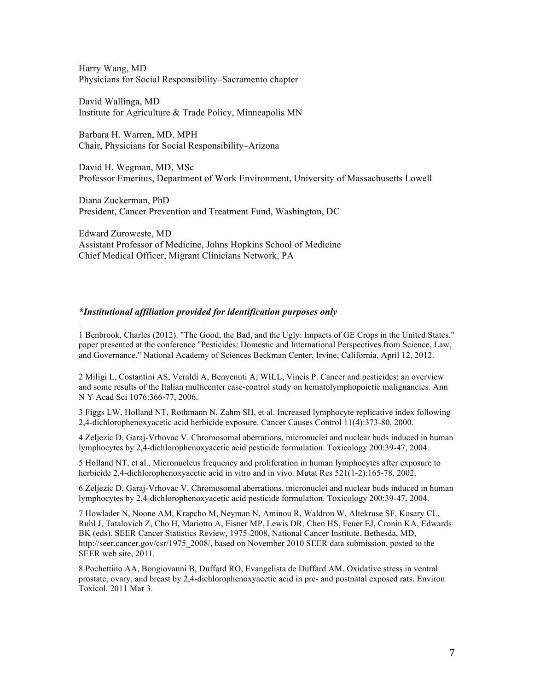Harry Wang, MD Physicians for Social Responsibility–Sacramento chapter

David Wallinga, MD Institute for Agriculture & Trade Policy, Minneapolis MN

Barbara H. Warren, MD, MPH Chair, Physicians for Social Responsibility–Arizona

David H. Wegman, MD, MSc Professor Emeritus, Department of Work Environment, University of Massachusetts Lowell

Diana Zuckerman, PhD President, Cancer Prevention and Treatment Fund, Washington, DC

Edward Zuroweste, MD Assistant Professor of Medicine, Johns Hopkins School of Medicine Chief Medical Officer, Migrant Clinicians Network, PA

#### *\*Institutional affiliation provided for identification purposes only*

!!!!!!!!!!!!!!!!!!!!!!!!!!!!!!!!!!!!!!!!!!!!!!!!!!!!!!!

1 Benbrook, Charles (2012). "The Good, the Bad, and the Ugly: Impacts of GE Crops in the United States," paper presented at the conference "Pesticides: Domestic and International Perspectives from Science, Law, and Governance," National Academy of Sciences Beckman Center, Irvine, California, April 12, 2012.

2 Miligi L, Costantini AS, Veraldi A, Benvenuti A; WILL, Vineis P. Cancer and pesticides: an overview and some results of the Italian multicenter case-control study on hematolymphopoietic malignancies. Ann N Y Acad Sci 1076:366-77, 2006.

3 Figgs LW, Holland NT, Rothmann N, Zahm SH, et al. Increased lymphocyte replicative index following 2,4-dichlorophenoxyacetic acid herbicide exposure. Cancer Causes Control 11(4):373-80, 2000.

4 Zeljezic D, Garaj-Vrhovac V. Chromosomal aberrations, micronuclei and nuclear buds induced in human lymphocytes by 2,4-dichlorophenoxyacetic acid pesticide formulation. Toxicology 200:39-47, 2004.

5 Holland NT, et al., Micronucleus frequency and proliferation in human lymphocytes after exposure to herbicide 2,4-dichlorophenoxyacetic acid in vitro and in vivo. Mutat Res 521(1-2):165-78, 2002.

6 Zeljezic D, Garaj-Vrhovac V. Chromosomal aberrations, micronuclei and nuclear buds induced in human lymphocytes by 2,4-dichlorophenoxyacetic acid pesticide formulation. Toxicology 200:39-47, 2004.

7 Howlader N, Noone AM, Krapcho M, Neyman N, Aminou R, Waldron W, Altekruse SF, Kosary CL, Ruhl J, Tatalovich Z, Cho H, Mariotto A, Eisner MP, Lewis DR, Chen HS, Feuer EJ, Cronin KA, Edwards BK (eds). SEER Cancer Statistics Review, 1975-2008, National Cancer Institute. Bethesda, MD, http://seer.cancer.gov/csr/1975\_2008/, based on November 2010 SEER data submission, posted to the SEER web site, 2011.

8 Pochettino AA, Bongiovanni B, Duffard RO, Evangelista de Duffard AM. Oxidative stress in ventral prostate, ovary, and breast by 2,4-dichlorophenoxyacetic acid in pre- and postnatal exposed rats. Environ Toxicol. 2011 Mar 3.